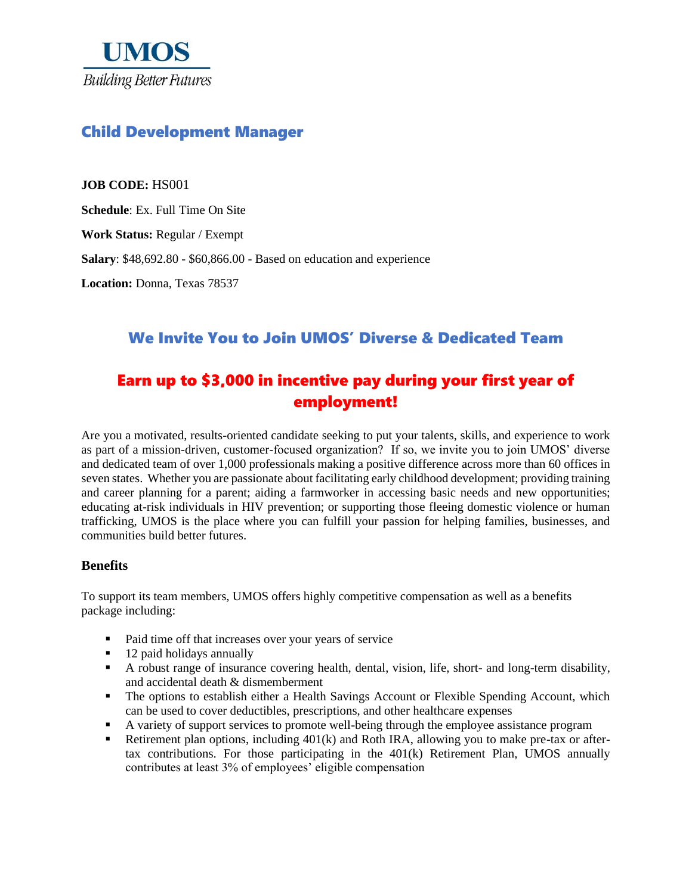

## Child Development Manager

**JOB CODE:** HS001

**Schedule**: Ex. Full Time On Site

**Work Status:** Regular / Exempt

**Salary**: \$48,692.80 - \$60,866.00 - Based on education and experience

**Location:** Donna, Texas 78537

### We Invite You to Join UMOS' Diverse & Dedicated Team

# Earn up to \$3,000 in incentive pay during your first year of employment!

Are you a motivated, results-oriented candidate seeking to put your talents, skills, and experience to work as part of a mission-driven, customer-focused organization? If so, we invite you to join UMOS' diverse and dedicated team of over 1,000 professionals making a positive difference across more than 60 offices in seven states. Whether you are passionate about facilitating early childhood development; providing training and career planning for a parent; aiding a farmworker in accessing basic needs and new opportunities; educating at-risk individuals in HIV prevention; or supporting those fleeing domestic violence or human trafficking, UMOS is the place where you can fulfill your passion for helping families, businesses, and communities build better futures.

#### **Benefits**

To support its team members, UMOS offers highly competitive compensation as well as a benefits package including:

- Paid time off that increases over your years of service
- 12 paid holidays annually
- A robust range of insurance covering health, dental, vision, life, short- and long-term disability, and accidental death & dismemberment
- The options to establish either a Health Savings Account or Flexible Spending Account, which can be used to cover deductibles, prescriptions, and other healthcare expenses
- A variety of support services to promote well-being through the employee assistance program
- Retirement plan options, including 401(k) and Roth IRA, allowing you to make pre-tax or aftertax contributions. For those participating in the 401(k) Retirement Plan, UMOS annually contributes at least 3% of employees' eligible compensation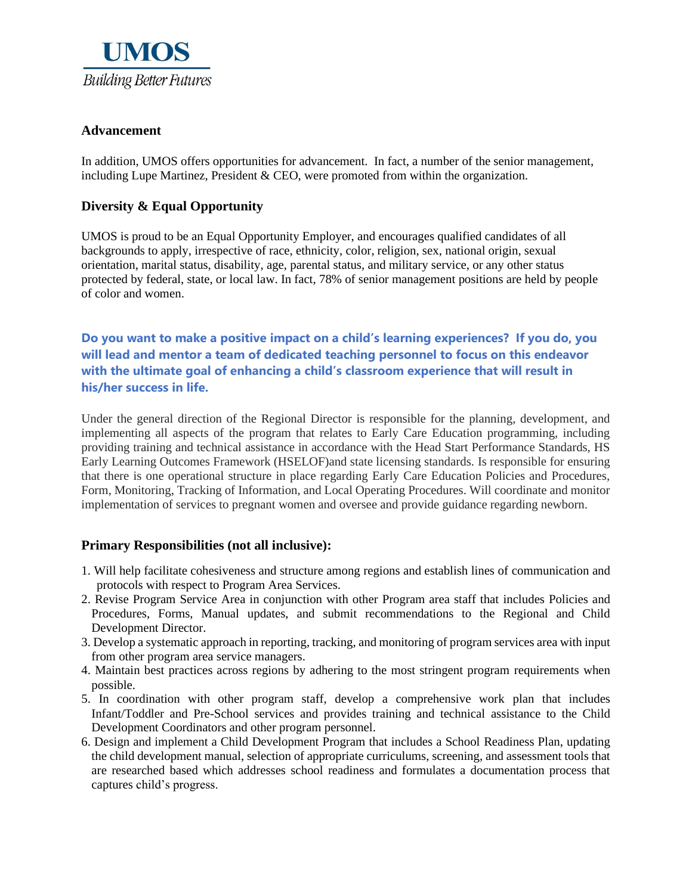

#### **Advancement**

In addition, UMOS offers opportunities for advancement. In fact, a number of the senior management, including Lupe Martinez, President  $\&$  CEO, were promoted from within the organization.

#### **Diversity & Equal Opportunity**

UMOS is proud to be an Equal Opportunity Employer, and encourages qualified candidates of all backgrounds to apply, irrespective of race, ethnicity, color, religion, sex, national origin, sexual orientation, marital status, disability, age, parental status, and military service, or any other status protected by federal, state, or local law. In fact, 78% of senior management positions are held by people of color and women.

**Do you want to make a positive impact on a child's learning experiences? If you do, you will lead and mentor a team of dedicated teaching personnel to focus on this endeavor with the ultimate goal of enhancing a child's classroom experience that will result in his/her success in life.**

Under the general direction of the Regional Director is responsible for the planning, development, and implementing all aspects of the program that relates to Early Care Education programming, including providing training and technical assistance in accordance with the Head Start Performance Standards, HS Early Learning Outcomes Framework (HSELOF)and state licensing standards. Is responsible for ensuring that there is one operational structure in place regarding Early Care Education Policies and Procedures, Form, Monitoring, Tracking of Information, and Local Operating Procedures. Will coordinate and monitor implementation of services to pregnant women and oversee and provide guidance regarding newborn.

#### **Primary Responsibilities (not all inclusive):**

- 1. Will help facilitate cohesiveness and structure among regions and establish lines of communication and protocols with respect to Program Area Services.
- 2. Revise Program Service Area in conjunction with other Program area staff that includes Policies and Procedures, Forms, Manual updates, and submit recommendations to the Regional and Child Development Director.
- 3. Develop a systematic approach in reporting, tracking, and monitoring of program services area with input from other program area service managers.
- 4. Maintain best practices across regions by adhering to the most stringent program requirements when possible.
- 5. In coordination with other program staff, develop a comprehensive work plan that includes Infant/Toddler and Pre-School services and provides training and technical assistance to the Child Development Coordinators and other program personnel.
- 6. Design and implement a Child Development Program that includes a School Readiness Plan, updating the child development manual, selection of appropriate curriculums, screening, and assessment tools that are researched based which addresses school readiness and formulates a documentation process that captures child's progress.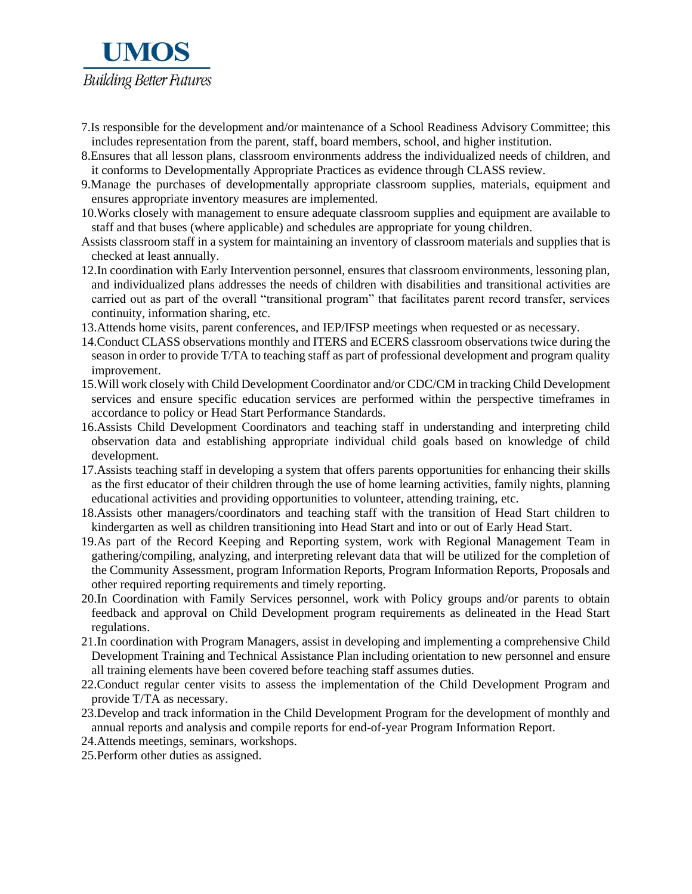

- 7.Is responsible for the development and/or maintenance of a School Readiness Advisory Committee; this includes representation from the parent, staff, board members, school, and higher institution.
- 8.Ensures that all lesson plans, classroom environments address the individualized needs of children, and it conforms to Developmentally Appropriate Practices as evidence through CLASS review.
- 9.Manage the purchases of developmentally appropriate classroom supplies, materials, equipment and ensures appropriate inventory measures are implemented.
- 10.Works closely with management to ensure adequate classroom supplies and equipment are available to staff and that buses (where applicable) and schedules are appropriate for young children.
- Assists classroom staff in a system for maintaining an inventory of classroom materials and supplies that is checked at least annually.
- 12.In coordination with Early Intervention personnel, ensures that classroom environments, lessoning plan, and individualized plans addresses the needs of children with disabilities and transitional activities are carried out as part of the overall "transitional program" that facilitates parent record transfer, services continuity, information sharing, etc.
- 13.Attends home visits, parent conferences, and IEP/IFSP meetings when requested or as necessary.
- 14.Conduct CLASS observations monthly and ITERS and ECERS classroom observations twice during the season in order to provide T/TA to teaching staff as part of professional development and program quality improvement.
- 15.Will work closely with Child Development Coordinator and/or CDC/CM in tracking Child Development services and ensure specific education services are performed within the perspective timeframes in accordance to policy or Head Start Performance Standards.
- 16.Assists Child Development Coordinators and teaching staff in understanding and interpreting child observation data and establishing appropriate individual child goals based on knowledge of child development.
- 17.Assists teaching staff in developing a system that offers parents opportunities for enhancing their skills as the first educator of their children through the use of home learning activities, family nights, planning educational activities and providing opportunities to volunteer, attending training, etc.
- 18.Assists other managers/coordinators and teaching staff with the transition of Head Start children to kindergarten as well as children transitioning into Head Start and into or out of Early Head Start.
- 19.As part of the Record Keeping and Reporting system, work with Regional Management Team in gathering/compiling, analyzing, and interpreting relevant data that will be utilized for the completion of the Community Assessment, program Information Reports, Program Information Reports, Proposals and other required reporting requirements and timely reporting.
- 20.In Coordination with Family Services personnel, work with Policy groups and/or parents to obtain feedback and approval on Child Development program requirements as delineated in the Head Start regulations.
- 21.In coordination with Program Managers, assist in developing and implementing a comprehensive Child Development Training and Technical Assistance Plan including orientation to new personnel and ensure all training elements have been covered before teaching staff assumes duties.
- 22.Conduct regular center visits to assess the implementation of the Child Development Program and provide T/TA as necessary.
- 23.Develop and track information in the Child Development Program for the development of monthly and annual reports and analysis and compile reports for end-of-year Program Information Report.
- 24.Attends meetings, seminars, workshops.
- 25.Perform other duties as assigned.